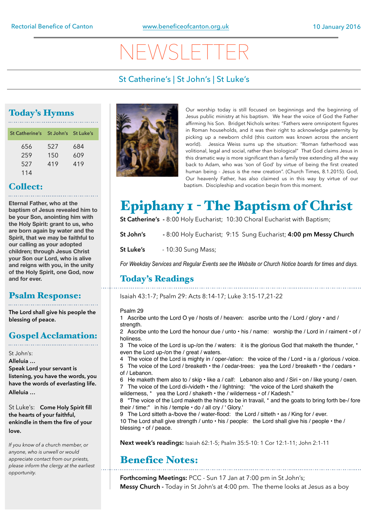# $\sqrt{2}$

### St Catherine's | St John's | St Luke's

### Today's Hymns

| St Catherine's St John's St Luke's |     |     |
|------------------------------------|-----|-----|
| 656                                | 527 | 684 |
| 259                                | 150 | 609 |
| 527                                | 419 | 419 |
| 114                                |     |     |

Collect:

**Eternal Father, who at the baptism of Jesus revealed him to be your Son, anointing him with the Holy Spirit: grant to us, who are born again by water and the Spirit, that we may be faithful to our calling as your adopted children; through Jesus Christ your Son our Lord, who is alive and reigns with you, in the unity of the Holy Spirit, one God, now and for ever.**

### Psalm Response:

**The Lord shall give his people the blessing of peace.** 

## Gospel Acclamation:

St John's:

**Alleluia … Speak Lord your servant is listening, you have the words, you have the words of everlasting life. Alleluia …** 

St Luke's: **Come Holy Spirit fill the hearts of your faithful, enkindle in them the fire of your love.** 

*If you know of a church member, or anyone, who is unwell or would appreciate contact from our priests, please inform the clergy at the earliest opportunity.* 



Our worship today is still focused on beginnings and the beginning of Jesus public ministry at his baptism. We hear the voice of God the Father affirming his Son. Bridget Nichols writes: "Fathers were omnipotent figures in Roman households, and it was their right to acknowledge paternity by picking up a newborn child (this custom was known across the ancient world). Jessica Weiss sums up the situation: "Roman fatherhood was volitional, legal and social, rather than biological" That God claims Jesus in this dramatic way is more significant than a family tree extending all the way back to Adam, who was 'son of God' by virtue of being the first created human being - Jesus is the new creation". (Church Times, 8.1.2015). God, Our heavenly Father, has also claimed us in this way by virtue of our baptism. Discipleship and vocation begin from this moment.

## Epiphany 1 - The Baptism of Christ

**St Catherine's -** 8:00 Holy Eucharist; 10:30 Choral Eucharist with Baptism;

**St John's -** 8:00 Holy Eucharist; 9:15 Sung Eucharist; **4:00 pm Messy Church**

**St Luke's** - 10:30 Sung Mass;

*For Weekday Services and Regular Events see the Website or Church Notice boards for times and days.*

## Today's Readings

Isaiah 43:1-7; Psalm 29: Acts 8:14-17; Luke 3:15-17,21-22

Psalm 29

1 Ascribe unto the Lord O ye / hosts of / heaven: ascribe unto the / Lord / glory  $\cdot$  and / strength.

2 Ascribe unto the Lord the honour due / unto  $\cdot$  his / name: worship the / Lord in / raiment  $\cdot$  of / holiness.

3 The voice of the Lord is up-/on the / waters: it is the glorious God that maketh the thunder, \* even the Lord up-/on the / great / waters.

- 4 The voice of the Lord is mighty in / oper-/ation: the voice of the / Lord · is a / glorious / voice.
- 5 The voice of the Lord / breaketh the / cedar-trees: yea the Lord / breaketh the / cedars •
- of / Lebanon.
- 6 He maketh them also to / skip like a / calf: Lebanon also and / Siri on / like young / oxen. 7 The voice of the Lord di-/videth • the / lightning: "the voice of the Lord shaketh the
- wilderness, \* yea the Lord / shaketh the / wilderness of / Kadesh."

8 "The voice of the Lord maketh the hinds to be in travail, \* and the goats to bring forth be-/ fore their / time:" in his / temple • do / all cry / ' Glory.'

9 The Lord sitteth a-/bove the / water-flood: the Lord / sitteth • as / King for / ever. 10 The Lord shall give strength / unto  $\cdot$  his / people: the Lord shall give his / people  $\cdot$  the / blessing • of / peace.

**Next week's readings:** Isaiah 62:1-5; Psalm 35:5-10: 1 Cor 12:1-11; John 2:1-11

### Benefice Notes:

**Forthcoming Meetings:** PCC - Sun 17 Jan at 7:00 pm in St John's; **Messy Church -** Today in St John's at 4:00 pm. The theme looks at Jesus as a boy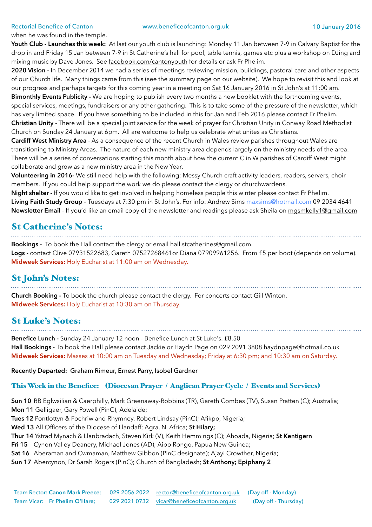when he was found in the temple.

**Youth Club - Launches this week:** At last our youth club is launching: Monday 11 Jan between 7-9 in Calvary Baptist for the drop in and Friday 15 Jan between 7-9 in St Catherine's hall for pool, table tennis, games etc plus a workshop on DJing and mixing music by Dave Jones. See [facebook.com/cantonyouth](http://facebook.com/cantonyouth) for details or ask Fr Phelim.

**2020 Vision -** In December 2014 we had a series of meetings reviewing mission, buildings, pastoral care and other aspects of our Church life. Many things came from this (see the summary page on our website). We hope to revisit this and look at our progress and perhaps targets for this coming year in a meeting on Sat 16 January 2016 in St John's at 11:00 am. **Bimonthly Events Publicity -** We are hoping to publish every two months a new booklet with the forthcoming events, special services, meetings, fundraisers or any other gathering. This is to take some of the pressure of the newsletter, which has very limited space. If you have something to be included in this for Jan and Feb 2016 please contact Fr Phelim. **Christian Unity** - There will be a special joint service for the week of prayer for Christian Unity in Conway Road Methodist Church on Sunday 24 January at 6pm. All are welcome to help us celebrate what unites as Christians.

**Cardiff West Ministry Area** - As a consequence of the recent Church in Wales review parishes throughout Wales are transitioning to Ministry Areas. The nature of each new ministry area depends largely on the ministry needs of the area. There will be a series of conversations starting this month about how the current C in W parishes of Cardiff West might collaborate and grow as a new ministry area in the New Year.

**Volunteering in 2016-** We still need help with the following: Messy Church craft activity leaders, readers, servers, choir members. If you could help support the work we do please contact the clergy or churchwardens.

**Night shelter -** If you would like to get involved in helping homeless people this winter please contact Fr Phelim. **Living Faith Study Group** – Tuesdays at 7:30 pm in St John's. For info: Andrew Sims [maxsims@hotmail.com](mailto:maxsims@hotmail.com) 09 2034 4641 **Newsletter Email** - If you'd like an email copy of the newsletter and readings please ask Sheila on [mgsmkelly1@gmail.com](mailto:mgsmkelly1@gmail.com) 

## St Catherine's Notes:

**Bookings -** To book the Hall contact the clergy or email [hall.stcatherines@gmail.com.](mailto:hall.stcatherines@gmail.com) **Logs -** contact Clive 07931522683, Gareth 07527268461or Diana 07909961256. From £5 per boot (depends on volume). **Midweek Services:** Holy Eucharist at 11:00 am on Wednesday.

## St John's Notes:

**Church Booking -** To book the church please contact the clergy. For concerts contact Gill Winton. **Midweek Services:** Holy Eucharist at 10:30 am on Thursday.

#### St Luke's Notes:

**Benefice Lunch -** Sunday 24 January 12 noon - Benefice Lunch at St Luke's. £8.50 **Hall Bookings -** To book the Hall please contact Jackie or Haydn Page on 029 2091 3808 [haydnpage@hotmail.co.uk](mailto:haydnpage@hotmail.co.uk) **Midweek Services:** Masses at 10:00 am on Tuesday and Wednesday; Friday at 6:30 pm; and 10:30 am on Saturday.

**Recently Departed:** Graham Rimeur, Ernest Parry, Isobel Gardner

#### This Week in the Benefice: (Diocesan Prayer / Anglican Prayer Cycle / Events and Services)

**Sun 10** RB Eglwsilian & Caerphilly, Mark Greenaway-Robbins (TR), Gareth Combes (TV), Susan Pratten (C); Australia; **Mon 11** Gelligaer, Gary Powell (PinC); Adelaide;

**Tues 12** Pontlottyn & Fochriw and Rhymney, Robert Lindsay (PinC); Afikpo, Nigeria;

**Wed 13** All Officers of the Diocese of Llandaff; Agra, N. Africa; **St Hilary;** 

**Thur 14** Ystrad Mynach & Llanbradach, Steven Kirk (V), Keith Hemmings (C); Ahoada, Nigeria; **St Kentigern** 

**Fri 15** Cynon Valley Deanery, Michael Jones (AD); Aipo Rongo, Papua New Guinea;

**Sat 16** Aberaman and Cwmaman, Matthew Gibbon (PinC designate); Ajayi Crowther, Nigeria;

**Sun 17** Abercynon, Dr Sarah Rogers (PinC); Church of Bangladesh; **St Anthony; Epiphany 2**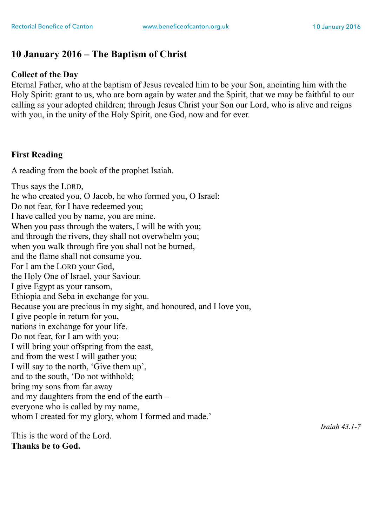### **10 January 2016 – The Baptism of Christ**

#### **Collect of the Day**

Eternal Father, who at the baptism of Jesus revealed him to be your Son, anointing him with the Holy Spirit: grant to us, who are born again by water and the Spirit, that we may be faithful to our calling as your adopted children; through Jesus Christ your Son our Lord, who is alive and reigns with you, in the unity of the Holy Spirit, one God, now and for ever.

#### **First Reading**

A reading from the book of the prophet Isaiah.

Thus says the LORD, he who created you, O Jacob, he who formed you, O Israel: Do not fear, for I have redeemed you; I have called you by name, you are mine. When you pass through the waters, I will be with you; and through the rivers, they shall not overwhelm you; when you walk through fire you shall not be burned, and the flame shall not consume you. For I am the LORD your God, the Holy One of Israel, your Saviour. I give Egypt as your ransom, Ethiopia and Seba in exchange for you. Because you are precious in my sight, and honoured, and I love you, I give people in return for you, nations in exchange for your life. Do not fear, for I am with you; I will bring your offspring from the east, and from the west I will gather you; I will say to the north, 'Give them up', and to the south, 'Do not withhold; bring my sons from far away and my daughters from the end of the earth – everyone who is called by my name, whom I created for my glory, whom I formed and made.'

This is the word of the Lord. **Thanks be to God.** 

*Isaiah 43.1-7*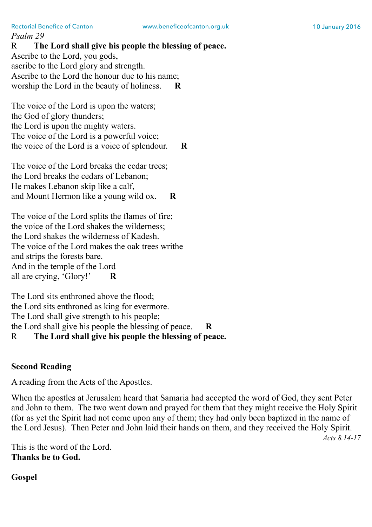*Psalm 29*  R **The Lord shall give his people the blessing of peace.**  Ascribe to the Lord, you gods, ascribe to the Lord glory and strength. Ascribe to the Lord the honour due to his name; worship the Lord in the beauty of holiness. **R** 

The voice of the Lord is upon the waters; the God of glory thunders; the Lord is upon the mighty waters. The voice of the Lord is a powerful voice; the voice of the Lord is a voice of splendour. **R** 

The voice of the Lord breaks the cedar trees; the Lord breaks the cedars of Lebanon; He makes Lebanon skip like a calf, and Mount Hermon like a young wild ox. **R** 

The voice of the Lord splits the flames of fire; the voice of the Lord shakes the wilderness; the Lord shakes the wilderness of Kadesh. The voice of the Lord makes the oak trees writhe and strips the forests bare. And in the temple of the Lord all are crying, 'Glory!' **R** 

The Lord sits enthroned above the flood; the Lord sits enthroned as king for evermore. The Lord shall give strength to his people; the Lord shall give his people the blessing of peace. **R**  R **The Lord shall give his people the blessing of peace.** 

### **Second Reading**

A reading from the Acts of the Apostles.

When the apostles at Jerusalem heard that Samaria had accepted the word of God, they sent Peter and John to them. The two went down and prayed for them that they might receive the Holy Spirit (for as yet the Spirit had not come upon any of them; they had only been baptized in the name of the Lord Jesus). Then Peter and John laid their hands on them, and they received the Holy Spirit. *Acts 8.14-17* 

This is the word of the Lord. **Thanks be to God.** 

**Gospel**